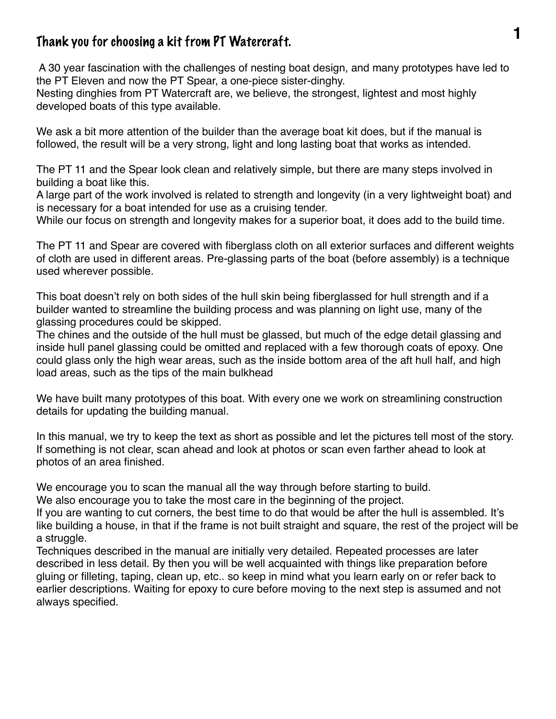## **1** Thank you for choosing a kit from PT Watercraft.

 A 30 year fascination with the challenges of nesting boat design, and many prototypes have led to the PT Eleven and now the PT Spear, a one-piece sister-dinghy.

Nesting dinghies from PT Watercraft are, we believe, the strongest, lightest and most highly developed boats of this type available.

We ask a bit more attention of the builder than the average boat kit does, but if the manual is followed, the result will be a very strong, light and long lasting boat that works as intended.

The PT 11 and the Spear look clean and relatively simple, but there are many steps involved in building a boat like this.

A large part of the work involved is related to strength and longevity (in a very lightweight boat) and is necessary for a boat intended for use as a cruising tender.

While our focus on strength and longevity makes for a superior boat, it does add to the build time.

The PT 11 and Spear are covered with fiberglass cloth on all exterior surfaces and different weights of cloth are used in different areas. Pre-glassing parts of the boat (before assembly) is a technique used wherever possible.

This boat doesn't rely on both sides of the hull skin being fiberglassed for hull strength and if a builder wanted to streamline the building process and was planning on light use, many of the glassing procedures could be skipped.

The chines and the outside of the hull must be glassed, but much of the edge detail glassing and inside hull panel glassing could be omitted and replaced with a few thorough coats of epoxy. One could glass only the high wear areas, such as the inside bottom area of the aft hull half, and high load areas, such as the tips of the main bulkhead

We have built many prototypes of this boat. With every one we work on streamlining construction details for updating the building manual.

In this manual, we try to keep the text as short as possible and let the pictures tell most of the story. If something is not clear, scan ahead and look at photos or scan even farther ahead to look at photos of an area finished.

We encourage you to scan the manual all the way through before starting to build.

We also encourage you to take the most care in the beginning of the project.

If you are wanting to cut corners, the best time to do that would be after the hull is assembled. It's like building a house, in that if the frame is not built straight and square, the rest of the project will be a struggle.

Techniques described in the manual are initially very detailed. Repeated processes are later described in less detail. By then you will be well acquainted with things like preparation before gluing or filleting, taping, clean up, etc.. so keep in mind what you learn early on or refer back to earlier descriptions. Waiting for epoxy to cure before moving to the next step is assumed and not always specified.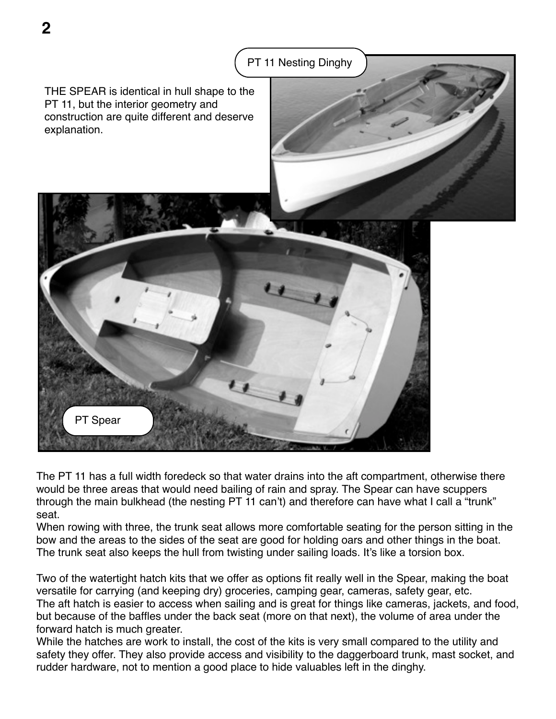

**2**



The PT 11 has a full width foredeck so that water drains into the aft compartment, otherwise there would be three areas that would need bailing of rain and spray. The Spear can have scuppers through the main bulkhead (the nesting PT 11 can't) and therefore can have what I call a "trunk" seat.

When rowing with three, the trunk seat allows more comfortable seating for the person sitting in the bow and the areas to the sides of the seat are good for holding oars and other things in the boat. The trunk seat also keeps the hull from twisting under sailing loads. It's like a torsion box.

Two of the watertight hatch kits that we offer as options fit really well in the Spear, making the boat versatile for carrying (and keeping dry) groceries, camping gear, cameras, safety gear, etc. The aft hatch is easier to access when sailing and is great for things like cameras, jackets, and food, but because of the baffles under the back seat (more on that next), the volume of area under the forward hatch is much greater.

While the hatches are work to install, the cost of the kits is very small compared to the utility and safety they offer. They also provide access and visibility to the daggerboard trunk, mast socket, and rudder hardware, not to mention a good place to hide valuables left in the dinghy.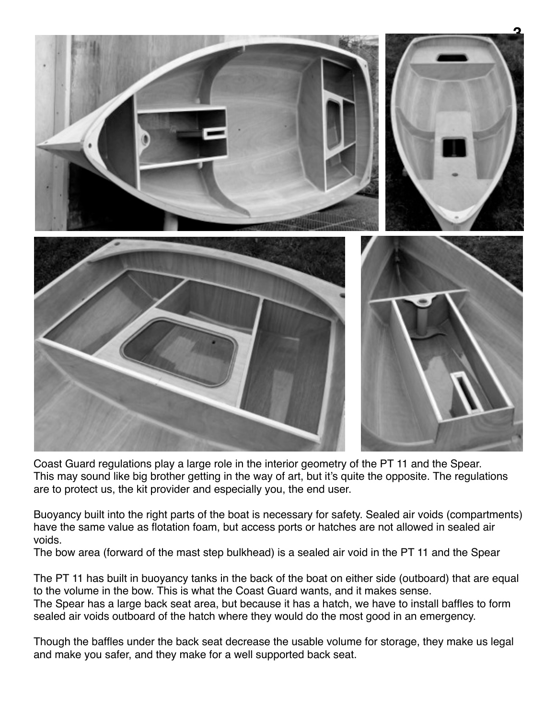

Coast Guard regulations play a large role in the interior geometry of the PT 11 and the Spear. This may sound like big brother getting in the way of art, but it's quite the opposite. The regulations are to protect us, the kit provider and especially you, the end user.

Buoyancy built into the right parts of the boat is necessary for safety. Sealed air voids (compartments) have the same value as flotation foam, but access ports or hatches are not allowed in sealed air voids.

The bow area (forward of the mast step bulkhead) is a sealed air void in the PT 11 and the Spear

The PT 11 has built in buoyancy tanks in the back of the boat on either side (outboard) that are equal to the volume in the bow. This is what the Coast Guard wants, and it makes sense. The Spear has a large back seat area, but because it has a hatch, we have to install baffles to form sealed air voids outboard of the hatch where they would do the most good in an emergency.

Though the baffles under the back seat decrease the usable volume for storage, they make us legal and make you safer, and they make for a well supported back seat.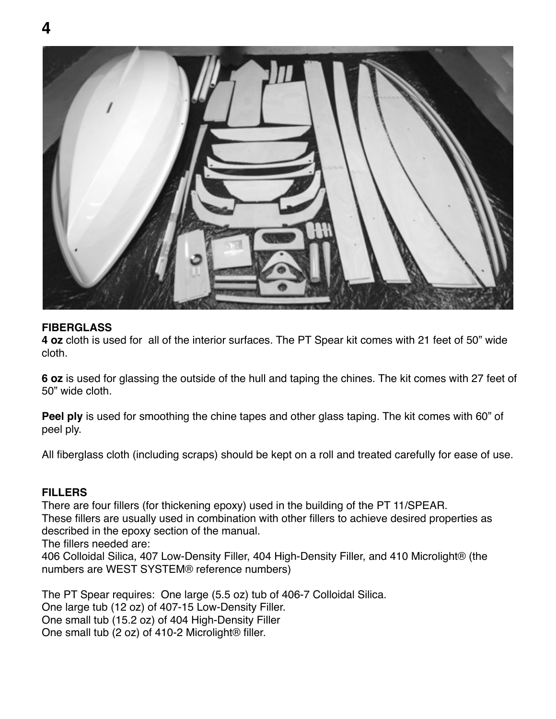

## **FIBERGLASS**

**4 oz** cloth is used for all of the interior surfaces. The PT Spear kit comes with 21 feet of 50" wide cloth.

**6 oz** is used for glassing the outside of the hull and taping the chines. The kit comes with 27 feet of 50" wide cloth.

**Peel ply** is used for smoothing the chine tapes and other glass taping. The kit comes with 60" of peel ply.

All fiberglass cloth (including scraps) should be kept on a roll and treated carefully for ease of use.

## **FILLERS**

There are four fillers (for thickening epoxy) used in the building of the PT 11/SPEAR. These fillers are usually used in combination with other fillers to achieve desired properties as described in the epoxy section of the manual.

The fillers needed are:

406 Colloidal Silica, 407 Low-Density Filler, 404 High-Density Filler, and 410 Microlight® (the numbers are WEST SYSTEM® reference numbers)

The PT Spear requires: One large (5.5 oz) tub of 406-7 Colloidal Silica. One large tub (12 oz) of 407-15 Low-Density Filler. One small tub (15.2 oz) of 404 High-Density Filler One small tub (2 oz) of 410-2 Microlight<sup>®</sup> filler.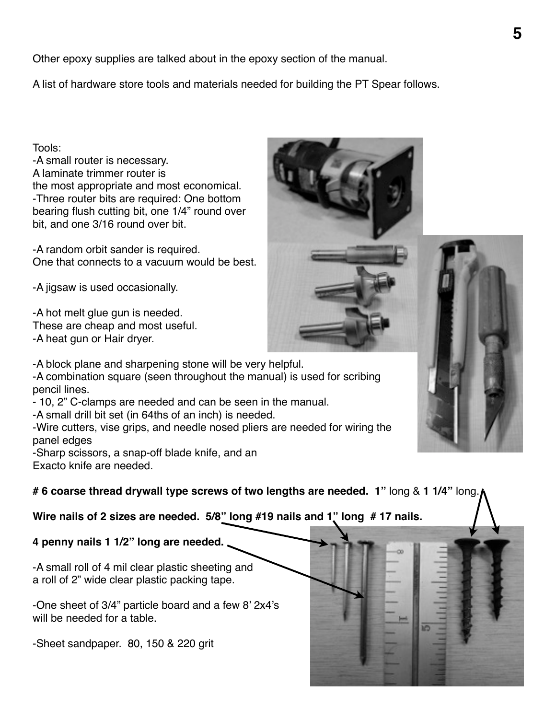Other epoxy supplies are talked about in the epoxy section of the manual.

A list of hardware store tools and materials needed for building the PT Spear follows.

Tools:

-A small router is necessary. A laminate trimmer router is the most appropriate and most economical. -Three router bits are required: One bottom bearing flush cutting bit, one 1/4" round over bit, and one 3/16 round over bit.

-A random orbit sander is required. One that connects to a vacuum would be best.

-A jigsaw is used occasionally.

-A hot melt glue gun is needed. These are cheap and most useful. -A heat gun or Hair dryer.

-A block plane and sharpening stone will be very helpful. -A combination square (seen throughout the manual) is used for scribing pencil lines.

- 10, 2" C-clamps are needed and can be seen in the manual.

-A small drill bit set (in 64ths of an inch) is needed.

-Wire cutters, vise grips, and needle nosed pliers are needed for wiring the panel edges

-Sharp scissors, a snap-off blade knife, and an Exacto knife are needed.

**# 6 coarse thread drywall type screws of two lengths are needed. 1"** long & **1 1/4"** long.

**Wire nails of 2 sizes are needed. 5/8" long #19 nails and 1" long # 17 nails.** 

**4 penny nails 1 1/2" long are needed.**

-A small roll of 4 mil clear plastic sheeting and a roll of 2" wide clear plastic packing tape.

-One sheet of 3/4" particle board and a few 8' 2x4's will be needed for a table.

-Sheet sandpaper. 80, 150 & 220 grit

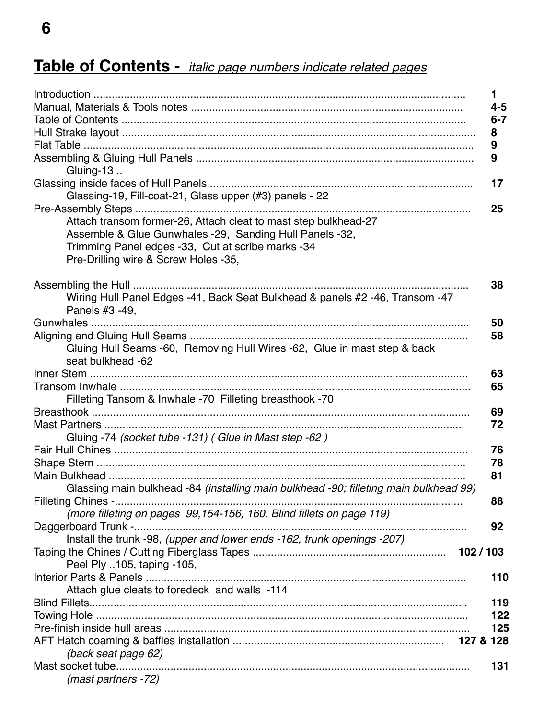## Table of Contents - italic page numbers indicate related pages

|                                                                                                | $\blacksquare$ |
|------------------------------------------------------------------------------------------------|----------------|
|                                                                                                | $4 - 5$        |
|                                                                                                | $6 - 7$        |
|                                                                                                | 8              |
|                                                                                                | 9              |
| Gluing-13                                                                                      | 9              |
|                                                                                                | 17             |
| Glassing-19, Fill-coat-21, Glass upper (#3) panels - 22                                        |                |
|                                                                                                | 25             |
| Attach transom former-26, Attach cleat to mast step bulkhead-27                                |                |
| Assemble & Glue Gunwhales -29, Sanding Hull Panels -32,                                        |                |
| Trimming Panel edges -33, Cut at scribe marks -34                                              |                |
| Pre-Drilling wire & Screw Holes -35,                                                           |                |
|                                                                                                |                |
|                                                                                                | 38             |
| Wiring Hull Panel Edges -41, Back Seat Bulkhead & panels #2 -46, Transom -47<br>Panels #3 -49, |                |
|                                                                                                | 50             |
|                                                                                                | 58             |
| Gluing Hull Seams -60, Removing Hull Wires -62, Glue in mast step & back<br>seat bulkhead -62  |                |
|                                                                                                | 63             |
|                                                                                                | 65             |
| Filleting Tansom & Inwhale -70 Filleting breasthook -70                                        |                |
|                                                                                                | 69             |
|                                                                                                | 72             |
| Gluing -74 (socket tube -131) (Glue in Mast step -62)                                          |                |
|                                                                                                | 76             |
|                                                                                                | 78<br>81       |
| Glassing main bulkhead -84 (installing main bulkhead -90; filleting main bulkhead 99)          |                |
|                                                                                                | 88             |
| (more filleting on pages 99,154-156, 160. Blind fillets on page 119)                           |                |
|                                                                                                | 92             |
| Install the trunk -98, (upper and lower ends -162, trunk openings -207)                        |                |
|                                                                                                | 102/103        |
| Peel Ply 105, taping -105,                                                                     |                |
|                                                                                                | 110            |
| Attach glue cleats to foredeck and walls -114                                                  |                |
|                                                                                                | 119            |
|                                                                                                | 122            |
|                                                                                                | 125            |
|                                                                                                |                |
| (back seat page 62)                                                                            |                |
|                                                                                                | 131            |
| (mast partners -72)                                                                            |                |